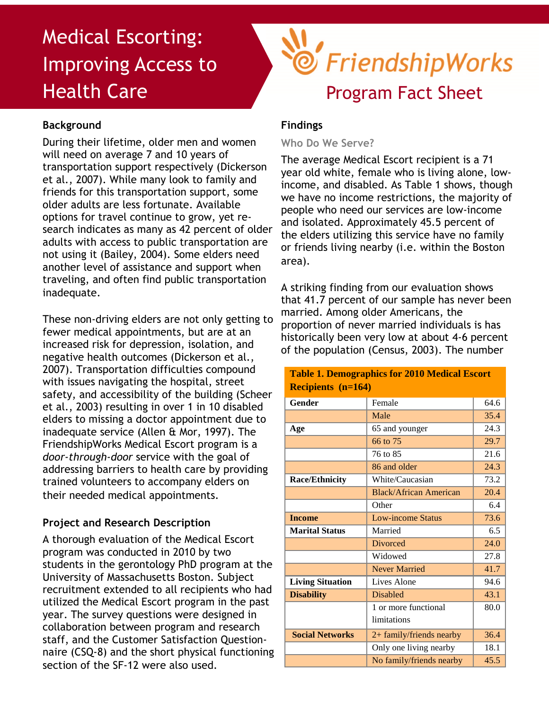## Medical Escorting: Improving Access to Health Care

### **Background**

During their lifetime, older men and women will need on average 7 and 10 years of transportation support respectively (Dickerson et al., 2007). While many look to family and friends for this transportation support, some older adults are less fortunate. Available options for travel continue to grow, yet research indicates as many as 42 percent of older adults with access to public transportation are not using it (Bailey, 2004). Some elders need another level of assistance and support when traveling, and often find public transportation inadequate.

These non-driving elders are not only getting to fewer medical appointments, but are at an increased risk for depression, isolation, and negative health outcomes (Dickerson et al., 2007). Transportation difficulties compound with issues navigating the hospital, street safety, and accessibility of the building (Scheer et al., 2003) resulting in over 1 in 10 disabled elders to missing a doctor appointment due to inadequate service (Allen & Mor, 1997). The FriendshipWorks Medical Escort program is a *door-through-door* service with the goal of addressing barriers to health care by providing trained volunteers to accompany elders on their needed medical appointments.

### **Project and Research Description**

A thorough evaluation of the Medical Escort program was conducted in 2010 by two students in the gerontology PhD program at the University of Massachusetts Boston. Subject recruitment extended to all recipients who had utilized the Medical Escort program in the past year. The survey questions were designed in collaboration between program and research staff, and the Customer Satisfaction Questionnaire (CSQ-8) and the short physical functioning section of the SF-12 were also used.

# C FriendshipWorks Program Fact Sheet

### **Findings**

**Who Do We Serve?** 

The average Medical Escort recipient is a 71 year old white, female who is living alone, lowincome, and disabled. As Table 1 shows, though we have no income restrictions, the majority of people who need our services are low-income and isolated. Approximately 45.5 percent of the elders utilizing this service have no family or friends living nearby (i.e. within the Boston area).

A striking finding from our evaluation shows that 41.7 percent of our sample has never been married. Among older Americans, the proportion of never married individuals is has historically been very low at about 4-6 percent of the population (Census, 2003). The number

**Table 1. Demographics for 2010 Medical Escort** 

| <b>Recipients (n=164)</b> |                          |      |
|---------------------------|--------------------------|------|
| Gender                    | Female                   | 64.6 |
|                           | Male                     | 35.4 |
| Age                       | 65 and younger           | 24.3 |
|                           | 66 to 75                 | 29.7 |
|                           | 76 to 85                 | 21.6 |
|                           | 86 and older             | 24.3 |
| <b>Race/Ethnicity</b>     | White/Caucasian          | 73.2 |
|                           | Black/African American   | 20.4 |
|                           | Other                    | 6.4  |
| <b>Income</b>             | <b>Low-income Status</b> | 73.6 |
| <b>Marital Status</b>     | Married                  | 6.5  |
|                           | <b>Divorced</b>          | 24.0 |
|                           | Widowed                  | 27.8 |
|                           | <b>Never Married</b>     | 41.7 |
| <b>Living Situation</b>   | Lives Alone              | 94.6 |
| <b>Disability</b>         | <b>Disabled</b>          | 43.1 |
|                           | 1 or more functional     | 80.0 |
|                           | limitations              |      |
| <b>Social Networks</b>    | 2+ family/friends nearby | 36.4 |
|                           | Only one living nearby   | 18.1 |
|                           | No family/friends nearby | 45.5 |